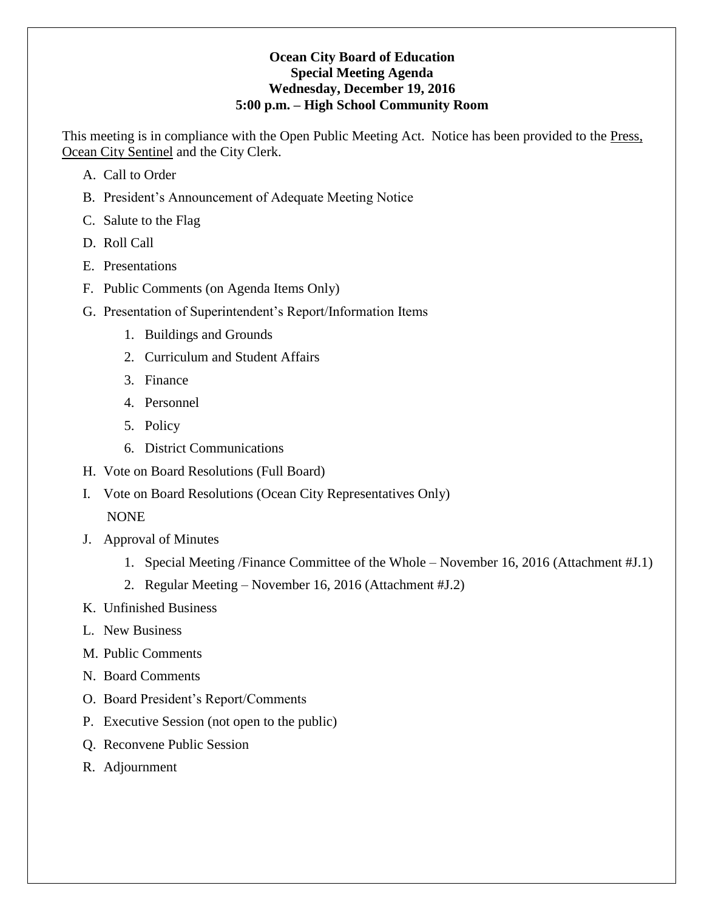## **Ocean City Board of Education Special Meeting Agenda Wednesday, December 19, 2016 5:00 p.m. – High School Community Room**

This meeting is in compliance with the Open Public Meeting Act. Notice has been provided to the Press, Ocean City Sentinel and the City Clerk.

- A. Call to Order
- B. President's Announcement of Adequate Meeting Notice
- C. Salute to the Flag
- D. Roll Call
- E. Presentations
- F. Public Comments (on Agenda Items Only)
- G. Presentation of Superintendent's Report/Information Items
	- 1. Buildings and Grounds
	- 2. Curriculum and Student Affairs
	- 3. Finance
	- 4. Personnel
	- 5. Policy
	- 6. District Communications
- H. Vote on Board Resolutions (Full Board)
- I. Vote on Board Resolutions (Ocean City Representatives Only)

NONE

- J. Approval of Minutes
	- 1. Special Meeting /Finance Committee of the Whole November 16, 2016 (Attachment #J.1)
	- 2. Regular Meeting November 16, 2016 (Attachment #J.2)
- K. Unfinished Business
- L. New Business
- M. Public Comments
- N. Board Comments
- O. Board President's Report/Comments
- P. Executive Session (not open to the public)
- Q. Reconvene Public Session
- R. Adjournment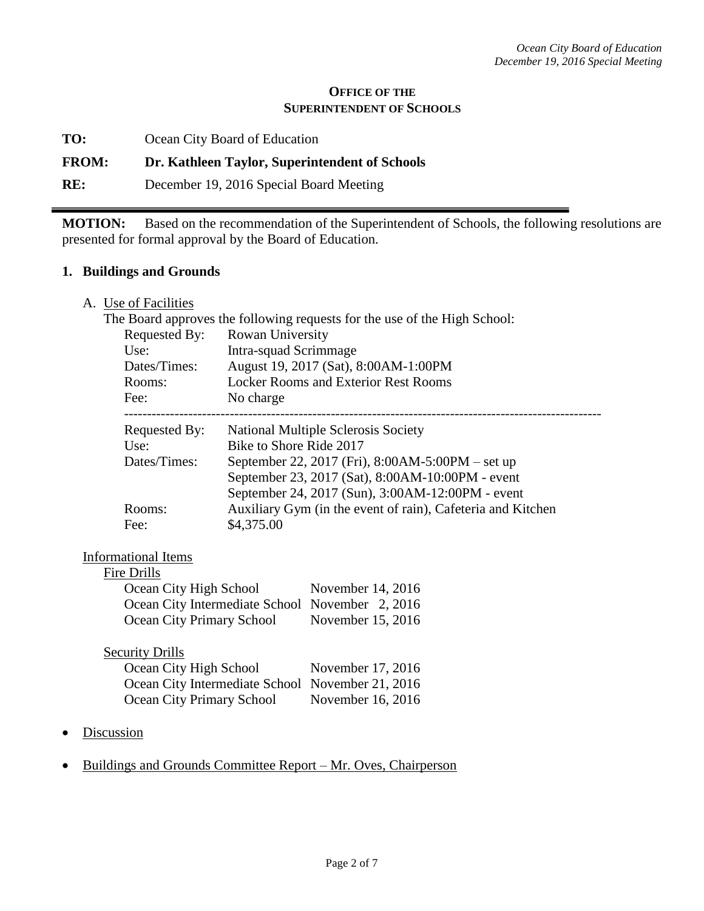#### **OFFICE OF THE SUPERINTENDENT OF SCHOOLS**

**TO:** Ocean City Board of Education

### **FROM: Dr. Kathleen Taylor, Superintendent of Schools**

**RE:** December 19, 2016 Special Board Meeting

**MOTION:** Based on the recommendation of the Superintendent of Schools, the following resolutions are presented for formal approval by the Board of Education.

#### **1. Buildings and Grounds**

A. Use of Facilities

|               | The Board approves the following requests for the use of the High School: |
|---------------|---------------------------------------------------------------------------|
| Requested By: | Rowan University                                                          |
| Use:          | Intra-squad Scrimmage                                                     |
| Dates/Times:  | August 19, 2017 (Sat), 8:00AM-1:00PM                                      |
| Rooms:        | <b>Locker Rooms and Exterior Rest Rooms</b>                               |
| Fee:          | No charge                                                                 |
| Requested By: | <b>National Multiple Sclerosis Society</b>                                |
| Use:          | Bike to Shore Ride 2017                                                   |
| Dates/Times:  | September 22, 2017 (Fri), 8:00AM-5:00PM – set up                          |
|               | September 23, 2017 (Sat), 8:00AM-10:00PM - event                          |
|               | September 24, 2017 (Sun), 3:00AM-12:00PM - event                          |
| Rooms:        | Auxiliary Gym (in the event of rain), Cafeteria and Kitchen               |
| Fee:          | \$4,375.00                                                                |
|               |                                                                           |

## Informational Items

#### Fire Drills

| Ocean City High School                          | November 14, 2016 |
|-------------------------------------------------|-------------------|
| Ocean City Intermediate School November 2, 2016 |                   |
| Ocean City Primary School                       | November 15, 2016 |

| <b>Security Drills</b>                           |                   |
|--------------------------------------------------|-------------------|
| Ocean City High School                           | November 17, 2016 |
| Ocean City Intermediate School November 21, 2016 |                   |
| Ocean City Primary School                        | November 16, 2016 |

- **Discussion**
- Buildings and Grounds Committee Report Mr. Oves, Chairperson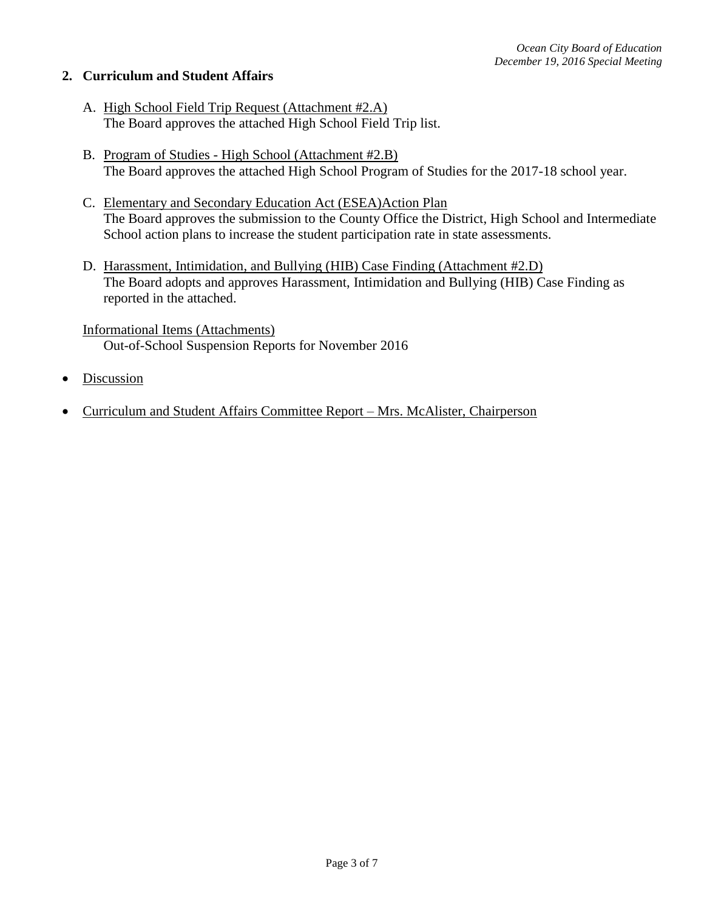## **2. Curriculum and Student Affairs**

- A. High School Field Trip Request (Attachment #2.A) The Board approves the attached High School Field Trip list.
- B. Program of Studies High School (Attachment #2.B) The Board approves the attached High School Program of Studies for the 2017-18 school year.
- C. Elementary and Secondary Education Act (ESEA)Action Plan The Board approves the submission to the County Office the District, High School and Intermediate School action plans to increase the student participation rate in state assessments.
- D. Harassment, Intimidation, and Bullying (HIB) Case Finding (Attachment #2.D) The Board adopts and approves Harassment, Intimidation and Bullying (HIB) Case Finding as reported in the attached.

Informational Items (Attachments) Out-of-School Suspension Reports for November 2016

- **Discussion**
- Curriculum and Student Affairs Committee Report Mrs. McAlister, Chairperson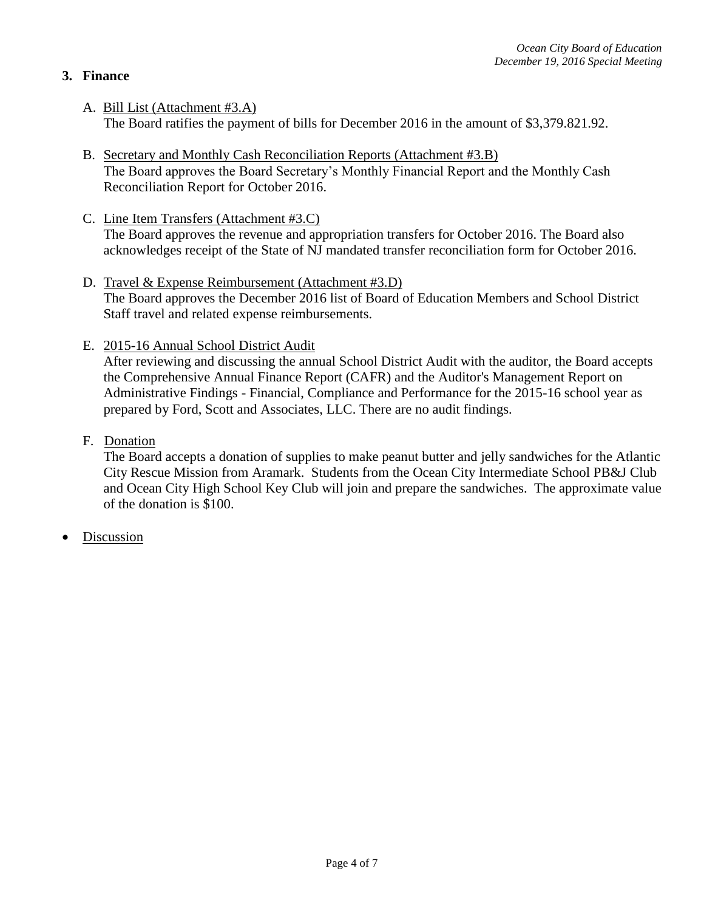## **3. Finance**

- A. Bill List (Attachment #3.A) The Board ratifies the payment of bills for December 2016 in the amount of \$3,379.821.92.
- B. Secretary and Monthly Cash Reconciliation Reports (Attachment #3.B) The Board approves the Board Secretary's Monthly Financial Report and the Monthly Cash Reconciliation Report for October 2016.
- C. Line Item Transfers (Attachment #3.C) The Board approves the revenue and appropriation transfers for October 2016. The Board also acknowledges receipt of the State of NJ mandated transfer reconciliation form for October 2016.
- D. Travel & Expense Reimbursement (Attachment #3.D) The Board approves the December 2016 list of Board of Education Members and School District Staff travel and related expense reimbursements.
- E. 2015-16 Annual School District Audit

After reviewing and discussing the annual School District Audit with the auditor, the Board accepts the Comprehensive Annual Finance Report (CAFR) and the Auditor's Management Report on Administrative Findings - Financial, Compliance and Performance for the 2015-16 school year as prepared by Ford, Scott and Associates, LLC. There are no audit findings.

F. Donation

The Board accepts a donation of supplies to make peanut butter and jelly sandwiches for the Atlantic City Rescue Mission from Aramark. Students from the Ocean City Intermediate School PB&J Club and Ocean City High School Key Club will join and prepare the sandwiches. The approximate value of the donation is \$100.

**Discussion**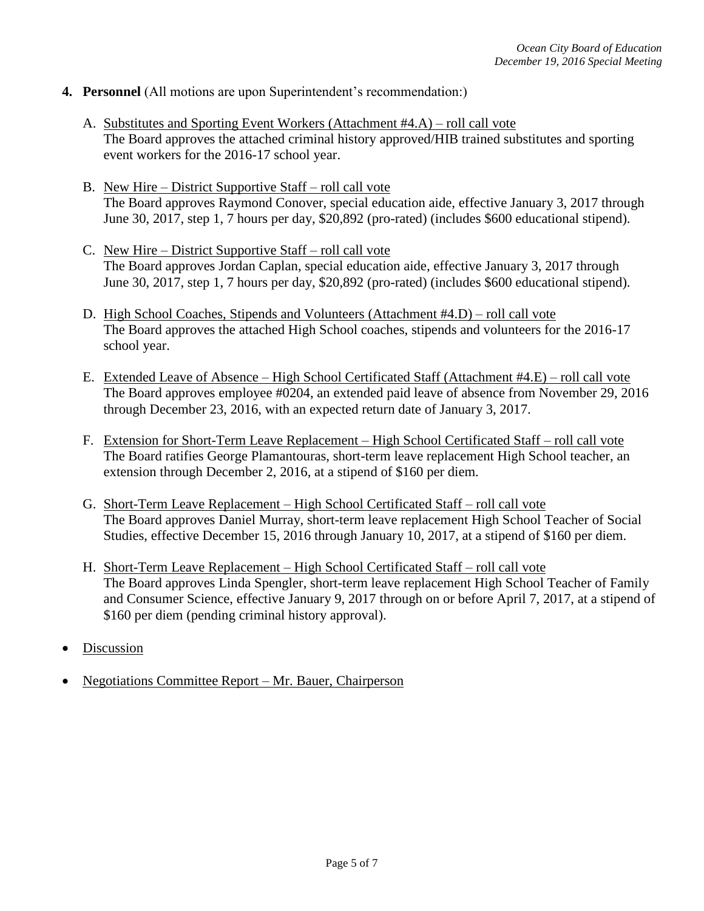- **4. Personnel** (All motions are upon Superintendent's recommendation:)
	- A. Substitutes and Sporting Event Workers (Attachment #4.A) roll call vote The Board approves the attached criminal history approved/HIB trained substitutes and sporting event workers for the 2016-17 school year.
	- B. New Hire District Supportive Staff roll call vote The Board approves Raymond Conover, special education aide, effective January 3, 2017 through June 30, 2017, step 1, 7 hours per day, \$20,892 (pro-rated) (includes \$600 educational stipend).
	- C. New Hire District Supportive Staff roll call vote The Board approves Jordan Caplan, special education aide, effective January 3, 2017 through June 30, 2017, step 1, 7 hours per day, \$20,892 (pro-rated) (includes \$600 educational stipend).
	- D. High School Coaches, Stipends and Volunteers (Attachment #4.D) roll call vote The Board approves the attached High School coaches, stipends and volunteers for the 2016-17 school year.
	- E. Extended Leave of Absence High School Certificated Staff (Attachment #4.E) roll call vote The Board approves employee #0204, an extended paid leave of absence from November 29, 2016 through December 23, 2016, with an expected return date of January 3, 2017.
	- F. Extension for Short-Term Leave Replacement High School Certificated Staff roll call vote The Board ratifies George Plamantouras, short-term leave replacement High School teacher, an extension through December 2, 2016, at a stipend of \$160 per diem.
	- G. Short-Term Leave Replacement High School Certificated Staff roll call vote The Board approves Daniel Murray, short-term leave replacement High School Teacher of Social Studies, effective December 15, 2016 through January 10, 2017, at a stipend of \$160 per diem.
	- H. Short-Term Leave Replacement High School Certificated Staff roll call vote The Board approves Linda Spengler, short-term leave replacement High School Teacher of Family and Consumer Science, effective January 9, 2017 through on or before April 7, 2017, at a stipend of \$160 per diem (pending criminal history approval).
- Discussion
- Negotiations Committee Report Mr. Bauer, Chairperson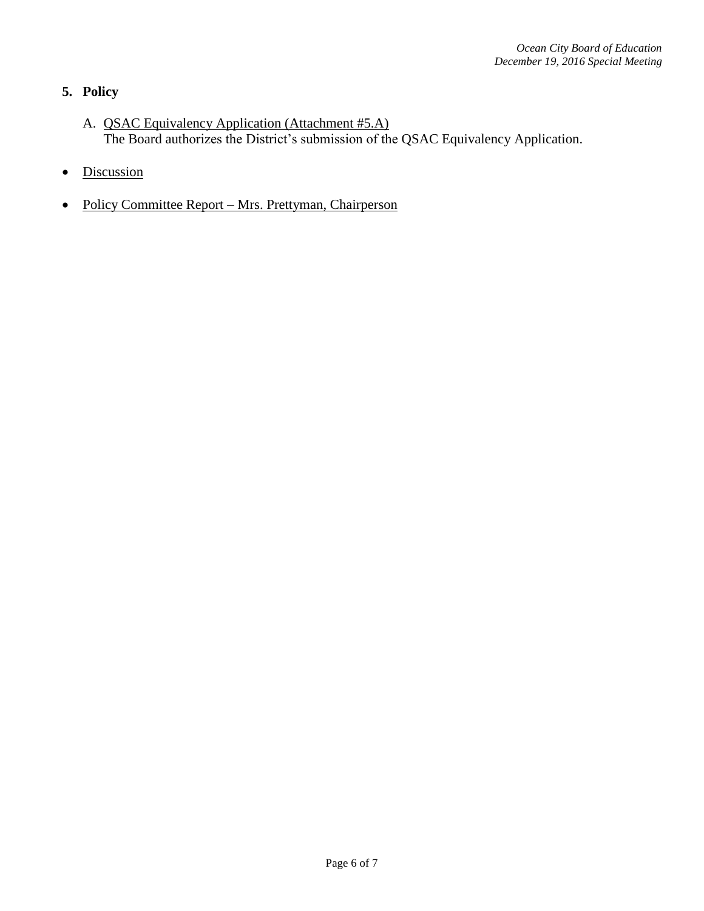# **5. Policy**

- A. QSAC Equivalency Application (Attachment #5.A) The Board authorizes the District's submission of the QSAC Equivalency Application.
- Discussion
- Policy Committee Report Mrs. Prettyman, Chairperson